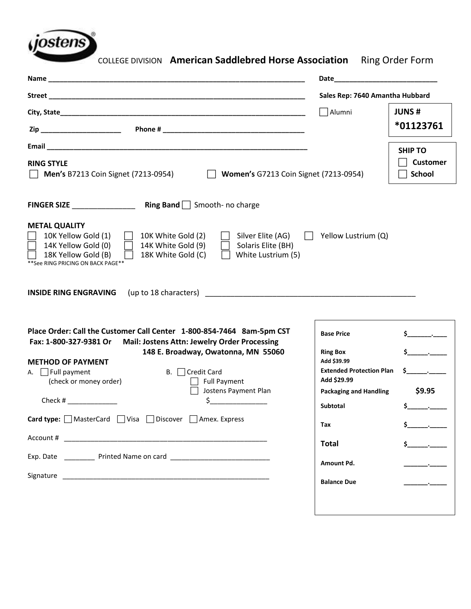

COLLEGE DIVISION **American Saddlebred Horse Association** Ring Order Form

|                                                                                                                                                                                                                                                                                                                                                                    | Sales Rep: 7640 Amantha Hubbard                                                                                                                    |                                                    |  |  |  |  |  |
|--------------------------------------------------------------------------------------------------------------------------------------------------------------------------------------------------------------------------------------------------------------------------------------------------------------------------------------------------------------------|----------------------------------------------------------------------------------------------------------------------------------------------------|----------------------------------------------------|--|--|--|--|--|
|                                                                                                                                                                                                                                                                                                                                                                    | Alumni                                                                                                                                             | <b>JUNS#</b><br>*01123761                          |  |  |  |  |  |
| <b>RING STYLE</b><br>Women's G7213 Coin Signet (7213-0954)<br><b>Men's B7213 Coin Signet (7213-0954)</b>                                                                                                                                                                                                                                                           |                                                                                                                                                    | <b>SHIP TO</b><br><b>Customer</b><br><b>School</b> |  |  |  |  |  |
|                                                                                                                                                                                                                                                                                                                                                                    |                                                                                                                                                    |                                                    |  |  |  |  |  |
| <b>METAL QUALITY</b><br>Yellow Lustrium (Q)<br>10K Yellow Gold (1)<br>10K White Gold (2)<br>Silver Elite (AG)<br>14K Yellow Gold (0)<br>14K White Gold (9)<br>Solaris Elite (BH)<br>18K Yellow Gold (B)<br>18K White Gold (C)<br>White Lustrium (5)<br>** See RING PRICING ON BACK PAGE **                                                                         |                                                                                                                                                    |                                                    |  |  |  |  |  |
| (up to 18 characters) example and the set of the set of the set of the set of the set of the set of the set of the set of the set of the set of the set of the set of the set of the set of the set of the set of the set of t<br><b>INSIDE RING ENGRAVING</b>                                                                                                     |                                                                                                                                                    |                                                    |  |  |  |  |  |
| Place Order: Call the Customer Call Center 1-800-854-7464 8am-5pm CST<br>Mail: Jostens Attn: Jewelry Order Processing<br>Fax: 1-800-327-9381 Or<br>148 E. Broadway, Owatonna, MN 55060<br><b>METHOD OF PAYMENT</b><br>A. $\Box$ Full payment<br>$B.$ $\Box$ Credit Card<br>(check or money order)<br><b>Full Payment</b><br>Jostens Payment Plan<br>Check #<br>\$. | <b>Base Price</b><br><b>Ring Box</b><br>Add \$39.99<br><b>Extended Protection Plan</b><br>Add \$29.99<br><b>Packaging and Handling</b><br>Subtotal | \$9.95                                             |  |  |  |  |  |
| Card type: MasterCard   Visa   Discover   Amex. Express                                                                                                                                                                                                                                                                                                            | Tax                                                                                                                                                |                                                    |  |  |  |  |  |
| Exp. Date <b>Exp.</b> Printed Name on card                                                                                                                                                                                                                                                                                                                         | <b>Total</b><br>Amount Pd.<br><b>Balance Due</b>                                                                                                   | $\mathsf{S}$ .                                     |  |  |  |  |  |
|                                                                                                                                                                                                                                                                                                                                                                    |                                                                                                                                                    |                                                    |  |  |  |  |  |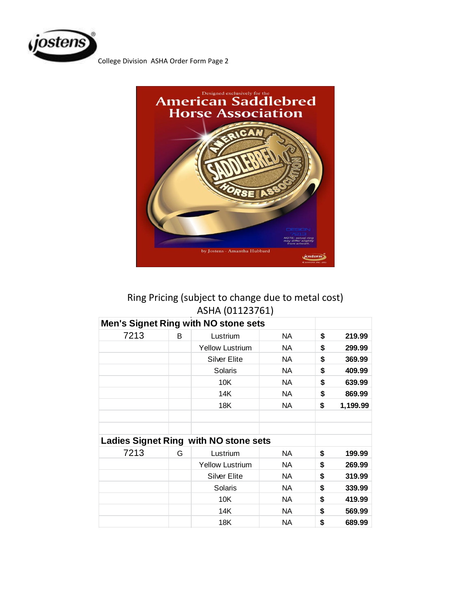

College Division ASHA Order Form Page 2



# Ring Pricing (subject to change due to metal cost) ASHA (01123761)

| <b>Men's Signet Ring with NO stone sets</b> |   |                                       |           |                |
|---------------------------------------------|---|---------------------------------------|-----------|----------------|
| 7213                                        | B | Lustrium                              | NA.       | \$<br>219.99   |
|                                             |   | <b>Yellow Lustrium</b>                | <b>NA</b> | \$<br>299.99   |
|                                             |   | <b>Silver Elite</b>                   | <b>NA</b> | \$<br>369.99   |
|                                             |   | Solaris                               | NA.       | \$<br>409.99   |
|                                             |   | 10K                                   | NA.       | \$<br>639.99   |
|                                             |   | 14K                                   | <b>NA</b> | \$<br>869.99   |
|                                             |   | 18K                                   | <b>NA</b> | \$<br>1,199.99 |
|                                             |   |                                       |           |                |
|                                             |   |                                       |           |                |
|                                             |   | Ladies Signet Ring with NO stone sets |           |                |
| 7213<br>G                                   |   | Lustrium                              | <b>NA</b> | \$<br>199.99   |
|                                             |   | <b>Yellow Lustrium</b>                | <b>NA</b> | \$<br>269.99   |
|                                             |   | <b>Silver Elite</b>                   | NA.       | \$<br>319.99   |
|                                             |   | Solaris                               | NA.       | \$<br>339.99   |
|                                             |   | 10K                                   | NA.       | \$<br>419.99   |
|                                             |   | 14K                                   | <b>NA</b> | \$<br>569.99   |
|                                             |   | 18K                                   | <b>NA</b> | \$<br>689.99   |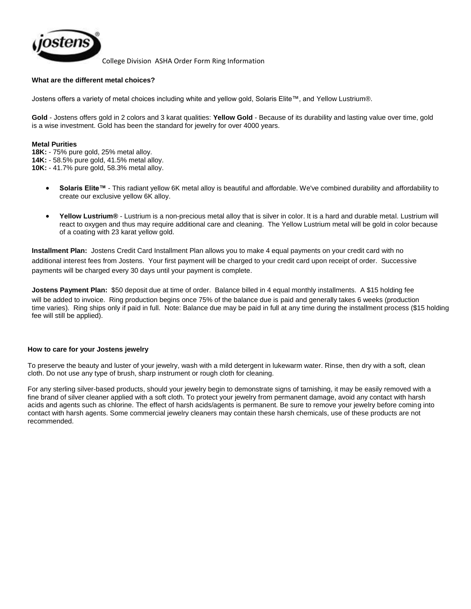

College Division ASHA Order Form Ring Information

## **What are the different metal choices?**

Jostens offers a variety of metal choices including white and yellow gold, Solaris Elite™, and Yellow Lustrium®.

**Gold** - Jostens offers gold in 2 colors and 3 karat qualities: **Yellow Gold** - Because of its durability and lasting value over time, gold is a wise investment. Gold has been the standard for jewelry for over 4000 years.

#### **Metal Purities**

**18K:** - 75% pure gold, 25% metal alloy.

**14K:** - 58.5% pure gold, 41.5% metal alloy.

**10K:** - 41.7% pure gold, 58.3% metal alloy.

- **Solaris Elite™** This radiant yellow 6K metal alloy is beautiful and affordable. We've combined durability and affordability to create our exclusive yellow 6K alloy.
- **Yellow Lustrium®** Lustrium is a non-precious metal alloy that is silver in color. It is a hard and durable metal. Lustrium will react to oxygen and thus may require additional care and [cleaning.](http://www.jostens.com/help/shared/FAQ_CleanRing.asp?bc=hs) The Yellow Lustrium metal will be gold in color because of a coating with 23 karat yellow gold.

**Installment Plan:** Jostens Credit Card Installment Plan allows you to make 4 equal payments on your credit card with no additional interest fees from Jostens. Your first payment will be charged to your credit card upon receipt of order. Successive payments will be charged every 30 days until your payment is complete.

**Jostens Payment Plan:** \$50 deposit due at time of order. Balance billed in 4 equal monthly installments. A \$15 holding fee will be added to invoice. Ring production begins once 75% of the balance due is paid and generally takes 6 weeks (production time varies). Ring ships only if paid in full. Note: Balance due may be paid in full at any time during the installment process (\$15 holding fee will still be applied).

### **How to care for your Jostens jewelry**

To preserve the beauty and luster of your jewelry, wash with a mild detergent in lukewarm water. Rinse, then dry with a soft, clean cloth. Do not use any type of brush, sharp instrument or rough cloth for cleaning.

For any sterling silver-based products, should your jewelry begin to demonstrate signs of tarnishing, it may be easily removed with a fine brand of silver cleaner applied with a soft cloth. To protect your jewelry from permanent damage, avoid any contact with harsh acids and agents such as chlorine. The effect of harsh acids/agents is permanent. Be sure to remove your jewelry before coming into contact with harsh agents. Some commercial jewelry cleaners may contain these harsh chemicals, use of these products are not recommended.